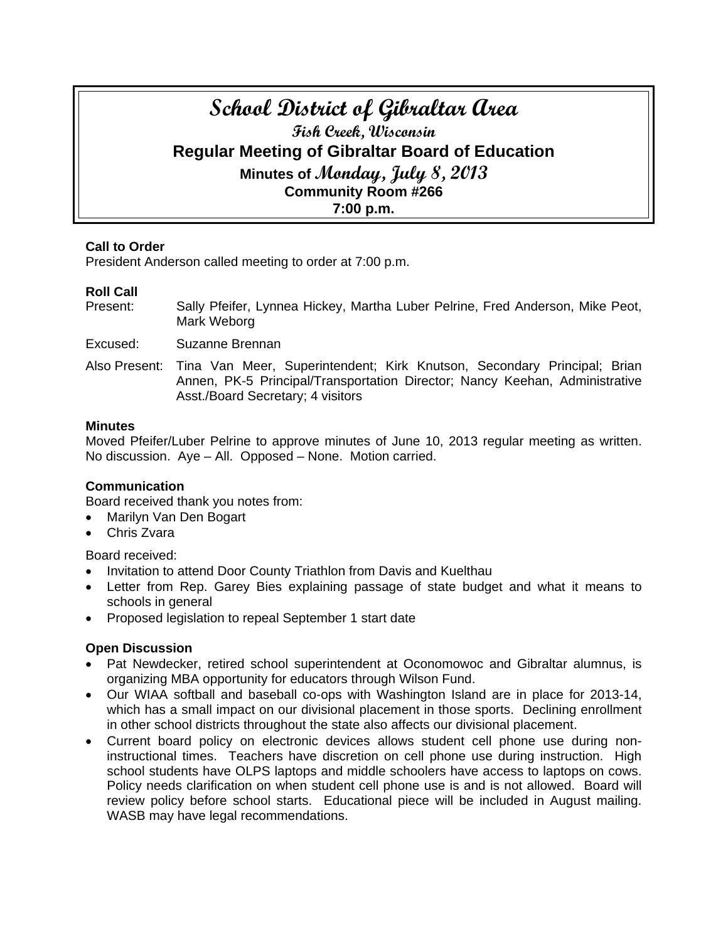# **School District of Gibraltar Area Fish Creek, Wisconsin Regular Meeting of Gibraltar Board of Education Minutes of Monday, July 8, 2013 Community Room #266 7:00 p.m.**

## **Call to Order**

President Anderson called meeting to order at 7:00 p.m.

## **Roll Call**

Present: Sally Pfeifer, Lynnea Hickey, Martha Luber Pelrine, Fred Anderson, Mike Peot, Mark Weborg

Excused: Suzanne Brennan

Also Present: Tina Van Meer, Superintendent; Kirk Knutson, Secondary Principal; Brian Annen, PK-5 Principal/Transportation Director; Nancy Keehan, Administrative Asst./Board Secretary; 4 visitors

#### **Minutes**

Moved Pfeifer/Luber Pelrine to approve minutes of June 10, 2013 regular meeting as written. No discussion. Aye – All. Opposed – None. Motion carried.

## **Communication**

Board received thank you notes from:

- Marilyn Van Den Bogart
- Chris Zvara

Board received:

- Invitation to attend Door County Triathlon from Davis and Kuelthau
- Letter from Rep. Garey Bies explaining passage of state budget and what it means to schools in general
- Proposed legislation to repeal September 1 start date

## **Open Discussion**

- Pat Newdecker, retired school superintendent at Oconomowoc and Gibraltar alumnus, is organizing MBA opportunity for educators through Wilson Fund.
- Our WIAA softball and baseball co-ops with Washington Island are in place for 2013-14, which has a small impact on our divisional placement in those sports. Declining enrollment in other school districts throughout the state also affects our divisional placement.
- Current board policy on electronic devices allows student cell phone use during noninstructional times. Teachers have discretion on cell phone use during instruction. High school students have OLPS laptops and middle schoolers have access to laptops on cows. Policy needs clarification on when student cell phone use is and is not allowed. Board will review policy before school starts. Educational piece will be included in August mailing. WASB may have legal recommendations.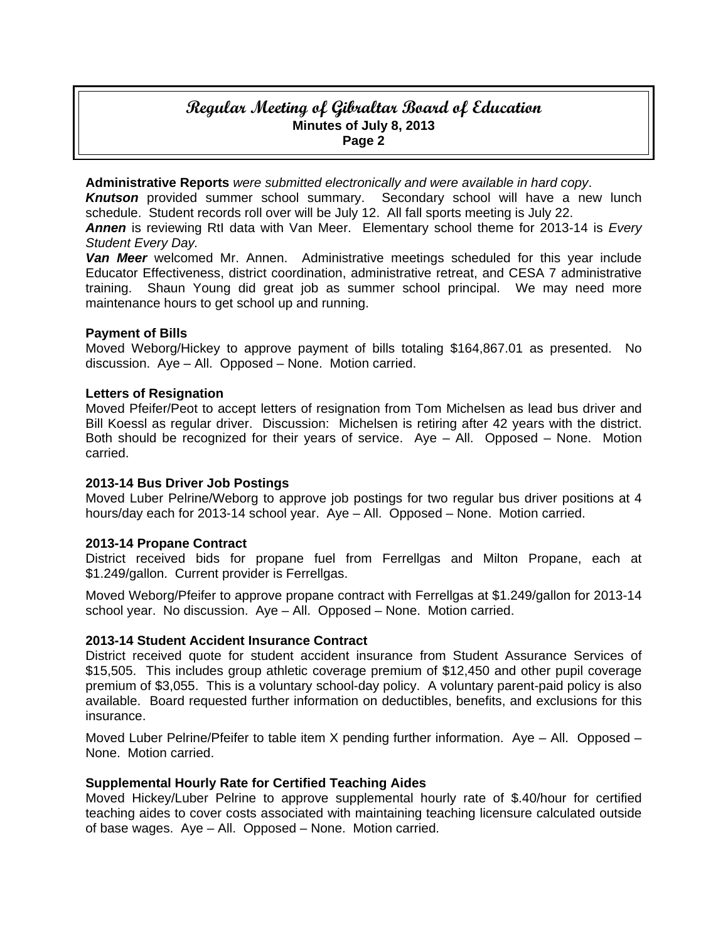## **Regular Meeting of Gibraltar Board of Education Minutes of July 8, 2013 Page 2**

**Administrative Reports** *were submitted electronically and were available in hard copy*.

*Knutson* provided summer school summary. Secondary school will have a new lunch schedule. Student records roll over will be July 12. All fall sports meeting is July 22.

*Annen* is reviewing RtI data with Van Meer. Elementary school theme for 2013-14 is *Every Student Every Day.* 

*Van Meer* welcomed Mr. Annen. Administrative meetings scheduled for this year include Educator Effectiveness, district coordination, administrative retreat, and CESA 7 administrative training. Shaun Young did great job as summer school principal. We may need more maintenance hours to get school up and running.

## **Payment of Bills**

Moved Weborg/Hickey to approve payment of bills totaling \$164,867.01 as presented. No discussion. Aye – All. Opposed – None. Motion carried.

## **Letters of Resignation**

Moved Pfeifer/Peot to accept letters of resignation from Tom Michelsen as lead bus driver and Bill Koessl as regular driver. Discussion: Michelsen is retiring after 42 years with the district. Both should be recognized for their years of service. Aye – All. Opposed – None. Motion carried.

#### **2013-14 Bus Driver Job Postings**

Moved Luber Pelrine/Weborg to approve job postings for two regular bus driver positions at 4 hours/day each for 2013-14 school year. Aye – All. Opposed – None. Motion carried.

#### **2013-14 Propane Contract**

District received bids for propane fuel from Ferrellgas and Milton Propane, each at \$1.249/gallon. Current provider is Ferrellgas.

Moved Weborg/Pfeifer to approve propane contract with Ferrellgas at \$1.249/gallon for 2013-14 school year. No discussion. Aye – All. Opposed – None. Motion carried.

## **2013-14 Student Accident Insurance Contract**

District received quote for student accident insurance from Student Assurance Services of \$15,505. This includes group athletic coverage premium of \$12,450 and other pupil coverage premium of \$3,055. This is a voluntary school-day policy. A voluntary parent-paid policy is also available. Board requested further information on deductibles, benefits, and exclusions for this insurance.

Moved Luber Pelrine/Pfeifer to table item X pending further information. Aye – All. Opposed – None. Motion carried.

#### **Supplemental Hourly Rate for Certified Teaching Aides**

Moved Hickey/Luber Pelrine to approve supplemental hourly rate of \$.40/hour for certified teaching aides to cover costs associated with maintaining teaching licensure calculated outside of base wages. Aye – All. Opposed – None. Motion carried.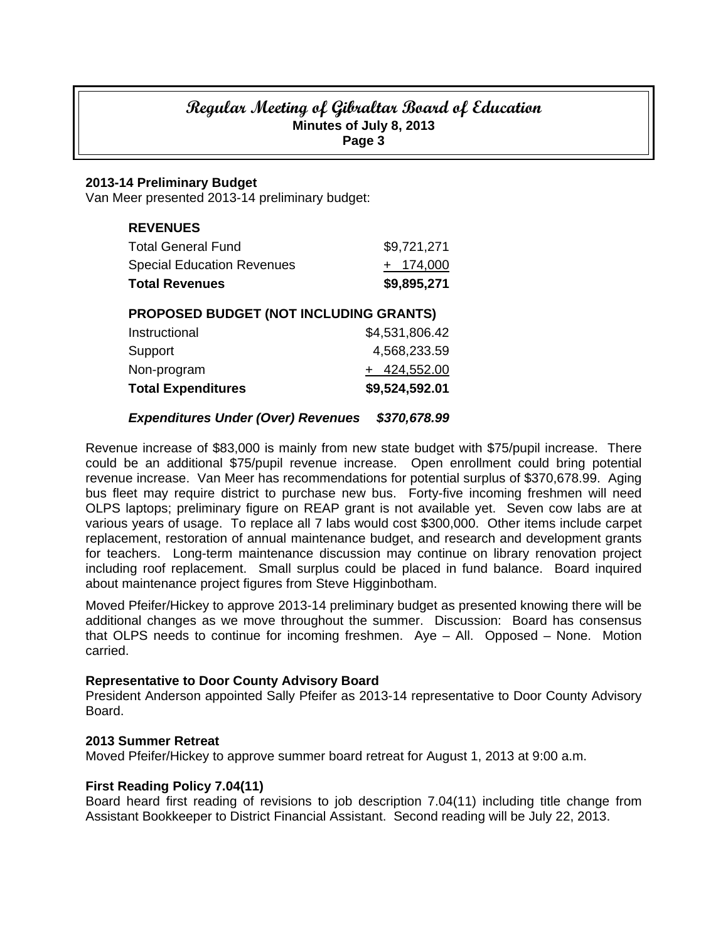# **Regular Meeting of Gibraltar Board of Education Minutes of July 8, 2013 Page 3**

## **2013-14 Preliminary Budget**

Van Meer presented 2013-14 preliminary budget:

| <b>REVENUES</b>                               |                |  |
|-----------------------------------------------|----------------|--|
| Total General Fund                            | \$9,721,271    |  |
| Special Education Revenues                    | $+$ 174,000    |  |
| <b>Total Revenues</b>                         | \$9,895,271    |  |
| <b>PROPOSED BUDGET (NOT INCLUDING GRANTS)</b> |                |  |
| Instructional                                 | \$4,531,806.42 |  |

| <b>Total Expenditures</b> | \$9,524,592.01 |
|---------------------------|----------------|
| Non-program               | $+ 424,552.00$ |
| Support                   | 4,568,233.59   |
| 11 1961 9961 917 191      | U, V, V, V, T  |

## *Expenditures Under (Over) Revenues \$370,678.99*

Revenue increase of \$83,000 is mainly from new state budget with \$75/pupil increase. There could be an additional \$75/pupil revenue increase. Open enrollment could bring potential revenue increase. Van Meer has recommendations for potential surplus of \$370,678.99. Aging bus fleet may require district to purchase new bus. Forty-five incoming freshmen will need OLPS laptops; preliminary figure on REAP grant is not available yet. Seven cow labs are at various years of usage. To replace all 7 labs would cost \$300,000. Other items include carpet replacement, restoration of annual maintenance budget, and research and development grants for teachers. Long-term maintenance discussion may continue on library renovation project including roof replacement. Small surplus could be placed in fund balance. Board inquired about maintenance project figures from Steve Higginbotham.

Moved Pfeifer/Hickey to approve 2013-14 preliminary budget as presented knowing there will be additional changes as we move throughout the summer. Discussion: Board has consensus that OLPS needs to continue for incoming freshmen. Aye – All. Opposed – None. Motion carried.

#### **Representative to Door County Advisory Board**

President Anderson appointed Sally Pfeifer as 2013-14 representative to Door County Advisory Board.

#### **2013 Summer Retreat**

Moved Pfeifer/Hickey to approve summer board retreat for August 1, 2013 at 9:00 a.m.

#### **First Reading Policy 7.04(11)**

Board heard first reading of revisions to job description 7.04(11) including title change from Assistant Bookkeeper to District Financial Assistant. Second reading will be July 22, 2013.